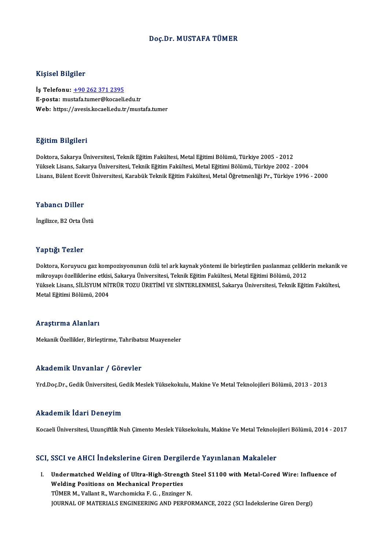### Doç.Dr.MUSTAFA TÜMER

## Kişisel Bilgiler

İş Telefonu: +90 262 371 2395 E-posta: mu[stafa.tumer@kocaeli](tel:+90 262 371 2395).edu.tr Web: https://avesis.kocaeli.edu.tr/mustafa.tumer

## Eğitim Bilgileri

Doktora,SakaryaÜniversitesi,TeknikEğitimFakültesi,MetalEğitimiBölümü,Türkiye 2005 -2012 YüksekLisans,SakaryaÜniversitesi,TeknikEğitimFakültesi,MetalEğitimiBölümü,Türkiye 2002 -2004 Lisans, Bülent Ecevit Üniversitesi, Karabük Teknik Eğitim Fakültesi, Metal Öğretmenliği Pr., Türkiye 1996 - 2000

### Yabancı Diller

İngilizce, B2 Orta Üstü

## Yaptığı Tezler

Yaptığı Tezler<br>Doktora, Koruyucu gaz kompozisyonunun özlü tel ark kaynak yöntemi ile birleştirilen paslanmaz çeliklerin mekanik ve<br>mikrovanı özelliklerine etkisi, Sakarya Üniversitesi, Teknik Fătijm Fakültesi, Metal Fătijm mikroyapı monusi<br>Doktora, Koruyucu gaz kompozisyonunun özlü tel ark kaynak yöntemi ile birleştirilen paslanmaz çelikle<br>Müksek Lisans, SİLİSYUM NİTPÜP TOZU ÜPETİMİ VE SİNTEPLENMESİ, Sekarya Üniversitesi, Teknik Eğiti Doktora, Koruyucu gaz kompozisyonunun özlü tel ark kaynak yöntemi ile birleştirilen paslanmaz çeliklerin mekanik<br>mikroyapı özelliklerine etkisi, Sakarya Üniversitesi, Teknik Eğitim Fakültesi, Metal Eğitimi Bölümü, 2012<br>Yük mikroyapı özelliklerine etkisi, Sakarya Üniversitesi, Teknik Eğitim Fakültesi, Metal Eğitimi Bölümü, 2012<br>Yüksek Lisans, SİLİSYUM NİTRÜR TOZU ÜRETİMİ VE SİNTERLENMESİ, Sakarya Üniversitesi, Teknik Eğitim Fakültesi,<br>Metal E

### Araştırma Alanları

Mekanik Özellikler, Birleştirme, Tahribatsız Muayeneler

### Akademik Unvanlar / Görevler

Yrd.Doç.Dr.,GedikÜniversitesi,GedikMeslekYüksekokulu,MakineVeMetalTeknolojileriBölümü,2013 -2013

## Akademik İdari Deneyim

Kocaeli Üniversitesi, Uzunçiftlik Nuh Çimento Meslek Yüksekokulu, Makine Ve Metal Teknolojileri Bölümü, 2014 - 2017

### SCI, SSCI ve AHCI İndekslerine Giren Dergilerde Yayınlanan Makaleler

I. UndermatchedWelding of Ultra-High-Strength Steel S1100 with Metal-CoredWire: Influence of Undermatched Welding of Ultra-High-Strengt<br>Welding Positions on Mechanical Properties<br>TÜMER M. Vellant R. Warsboriska E.C., Engineer Undermatched Welding of Ultra-High-Strength :<br>Welding Positions on Mechanical Properties<br>TÜMER M., Vallant R., Warchomicka F. G. , Enzinger N.<br>JOUPMAL OF MATERIALS ENGINEERING AND REREOL TÜMER M., Vallant R., Warchomicka F. G. , Enzinger N.<br>JOURNAL OF MATERIALS ENGINEERING AND PERFORMANCE, 2022 (SCI İndekslerine Giren Dergi)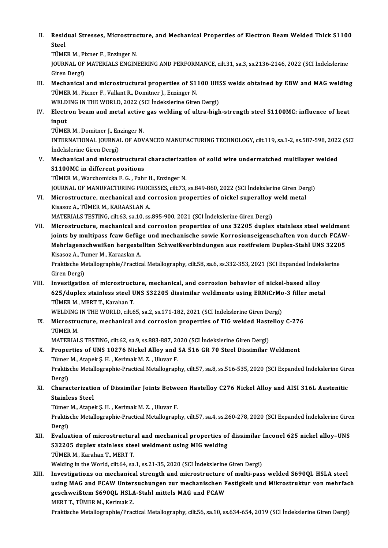II. Residual Stresses, Microstructure, and Mechanical Properties of Electron Beam Welded Thick S1100<br>Stool Resid<br>Steel<br>Tümp Residual Stresses, Microstruc<br>Steel<br>TÜMER M., Pixner F., Enzinger N.<br>JOUPMAL OF MATEPIALS ENCINI

Steel<br>TÜMER M., Pixner F., Enzinger N.<br>JOURNAL OF MATERIALS ENGINEERING AND PERFORMANCE, cilt.31, sa.3, ss.2136-2146, 2022 (SCI İndekslerine TÜMER M., Pi<br>JOURNAL OF<br>Giren Dergi)<br>Mechanical JOURNAL OF MATERIALS ENGINEERING AND PERFORMANCE, cilt.31, sa.3, ss.2136-2146, 2022 (SCI indekslerine<br>Giren Dergi)<br>III. Mechanical and microstructural properties of S1100 UHSS welds obtained by EBW and MAG welding<br>TUMER M.

Giren Dergi)<br>Mechanical and microstructural properties of S1100 UH<br>TÜMER M., Pixner F., Vallant R., Domitner J., Enzinger N.<br>WELDING IN THE WORLD, 2022 (SCI Indekslerine Giren Dergi) Mechanical and microstructural properties of S1100 UH:<br>TÜMER M., Pixner F., Vallant R., Domitner J., Enzinger N.<br>WELDING IN THE WORLD, 2022 (SCI İndekslerine Giren Dergi)<br>Flastron beam and matal astiye ges welding of ultra TÜMER M., Pixner F., Vallant R., Domitner J., Enzinger N.<br>WELDING IN THE WORLD, 2022 (SCI İndekslerine Giren Dergi)<br>IV. Electron beam and metal active gas welding of ultra-high-strength steel S1100MC: influence of heat<br>inn

WELD<br><mark>Electr</mark><br>input<br>TÜME! Electron beam and metal active<br>input<br>TÜMER M., Domitner J., Enzinger N.<br>INTERNATIONAL JOURNAL OF ADV

TÜMER M., Domitner J., Enzinger N.

input<br>TÜMER M., Domitner J., Enzinger N.<br>INTERNATIONAL JOURNAL OF ADVANCED MANUFACTURING TECHNOLOGY, cilt.119, sa.1-2, ss.587-598, 2022 (SCI<br>İndekslerine Giren Dergi) INTERNATIONAL JOURNAL OF ADVANCED MANUFACTURING TECHNOLOGY, cilt.119, sa.1-2, ss.587-598, 2022<br>Indekslerine Giren Dergi)<br>V. Mechanical and microstructural characterization of solid wire undermatched multilayer welded<br>S1100

İndekslerine Giren Dergi)<br>Mechanical and microstructural<br>S1100MC in different positions<br>TÜMER M. Warshamiska E.C., Bahı Mechanical and microstructural characterizat<br>S1100MC in different positions<br>TÜMER M., Warchomicka F. G. , Pahr H., Enzinger N.<br>JOUPMAL OF MANUEACTURING PROGESSES silt 72.

S1100MC in different positions<br>TÜMER M., Warchomicka F. G. , Pahr H., Enzinger N.<br>JOURNAL OF MANUFACTURING PROCESSES, cilt.73, ss.849-860, 2022 (SCI İndekslerine Giren Dergi) TÜMER M., Warchomicka F. G. , Pahr H., Enzinger N.<br>JOURNAL OF MANUFACTURING PROCESSES, cilt.73, ss.849-860, 2022 (SCI İndekslerine Giren Der<br>VI. Microstructure, mechanical and corrosion properties of nickel superalloy weld

- **JOURNAL OF MANUFACTURING PROC<br>Microstructure, mechanical and c<br>Kisasoz A., TÜMER M., KARAASLAN A.<br>MATEPIALS TESTING silt 63, 20.10, 20** Microstructure, mechanical and corrosion properties of nickel superalloy<br>Kisasoz A., TÜMER M., KARAASLAN A.<br>MATERIALS TESTING, cilt.63, sa.10, ss.895-900, 2021 (SCI İndekslerine Giren Dergi)<br>Mispostructure, mechanisal and
- Kisasoz A., TÜMER M., KARAASLAN A.<br>MATERIALS TESTING, cilt.63, sa.10, ss.895-900, 2021 (SCI İndekslerine Giren Dergi)<br>VII. Microstructure, mechanical and corrosion properties of uns 32205 duplex stainless steel weldment<br>io MATERIALS TESTING, cilt.63, sa.10, ss.895-900, 2021 (SCI İndekslerine Giren Dergi)<br>Microstructure, mechanical and corrosion properties of uns 32205 duplex stainless steel weldment<br>joints by multipass fcaw Gefüge und mechan Microstructure, mechanical and corrosion properties of uns 32205 duplex stainless steel weldmen<br>joints by multipass fcaw Gefüge und mechanische sowie Korrosionseigenschaften von durch FCAW<br>Mehrlagenschweißen hergestellten

joints by multipass fcaw Gefüg<br>Mehrlagenschweißen hergeste<br>Kisasoz A., Tumer M., Karaaslan A.<br>Praktische Metallegraphie (Prastie Mehrlagenschweißen hergestellten Schweißverbindungen aus rostfreiem Duplex-Stahl UNS 3220<br>Kisasoz A., Tumer M., Karaaslan A.<br>Praktische Metallographie/Practical Metallography, cilt.58, sa.6, ss.332-353, 2021 (SCI Expanded

Kisasoz A., Tumer M., Karaaslan A.<br>Praktische Metallographie/Practical Metallography, cilt.58, sa.6, ss.332-353, 2021 (SCI Expanded İndekslerine<br>Giren Dergi) Praktische Metallographie/Practical Metallography, cilt.58, sa.6, ss.332-353, 2021 (SCI Expanded Indek<br>Giren Dergi)<br>VIII. Investigation of microstructure, mechanical, and corrosion behavior of nickel-based alloy<br>625/dunley

Giren Dergi)<br>Investigation of microstructure, mechanical, and corrosion behavior of nickel-based alloy<br>625/duplex stainless steel UNS S32205 dissimilar weldments using ERNiCrMo-3 filler metal<br>TÜMER M. MERT T. Karaban T Investigation of microstruct<br>625/duplex stainless steel U<br>TÜMER M., MERT T., Karahan T.<br>WELDING IN THE WORLD, cik 6 625/duplex stainless steel UNS S32205 dissimilar weldments using ERNiCrMo-3 filler metal TÜMER M., MERT T., Karahan T.

WELDING IN THE WORLD, cilt.65, sa.2, ss.171-182, 2021 (SCI Indekslerine Giren Dergi)

IX. Microstructure, mechanical and corrosion properties of TIG welded Hastelloy C-276<br>TÜMER M. Microstructure, mechanical and corrosion properties of TIG welded Hast<br>TÜMER M.<br>MATERIALS TESTING, cilt.62, sa.9, ss.883-887, 2020 (SCI İndekslerine Giren Dergi)<br>Properties of UNS 19276 Nighel Alley and SA 516 CP 70 Steel

- X. Properties of UNS 10276 Nickel Alloy and SA 516 GR 70 Steel Dissimilar Weldment MATERIALS TESTING, cilt.62, sa.9, ss.883-887, 20<br>Properties of UNS 10276 Nickel Alloy and<br>Tümer M., Atapek Ş. H. , Kerimak M. Z. , Uluvar F.<br>Prektische Metellegraphie Prestisel Metellegraph Praktische Metallographie-Practical Metallography, cilt.57, sa.8, ss.516-535, 2020 (SCI Expanded İndekslerine Giren<br>Dergi) Tümer M., Atapek Ş. H., Kerimak M. Z., Uluvar F.
- Praktische Metallographie-Practical Metallography, cilt.57, sa.8, ss.516-535, 2020 (SCI Expanded İndekslerine Gire<br>Dergi)<br>XI. Characterization of Dissimilar Joints Between Hastelloy C276 Nickel Alloy and AISI 316L Austenit Dergi)<br>Characterizatio<br>Stainless Steel<br>Tümer M. Atane Characterization of Dissimilar Joints Betwe<br>Stainless Steel<br>Tümer M., Atapek Ş. H. , Kerimak M. Z. , Uluvar F.<br>Praktische Metallegraphie Practisel Metallegraph

Stainless Steel<br>Tümer M., Atapek Ş. H. , Kerimak M. Z. , Uluvar F.<br>Praktische Metallographie-Practical Metallography, cilt.57, sa.4, ss.260-278, 2020 (SCI Expanded İndekslerine Giren Tümer<br>Praktis<br>Dergi)<br>Evalua Praktische Metallographie-Practical Metallography, cilt.57, sa.4, ss.260-278, 2020 (SCI Expanded İndekslerine Gire<br>Dergi)<br>XII. Evaluation of microstructural and mechanical properties of dissimilar Inconel 625 nickel alloy–

## Dergi)<br>Evaluation of microstructural and mechanical properties of<br>S32205 duplex stainless steel weldment using MIG welding<br>TÜMER M. Karaban T. MERT T. Evaluation of microstructur<br>S32205 duplex stainless ste<br>TÜMER M., Karahan T., MERT T.<br>Welding in the Werld, silt 64, 88 S32205 duplex stainless steel weldment using MIG welding<br>TÜMER M., Karahan T., MERT T.<br>Welding in the World, cilt.64, sa.1, ss.21-35, 2020 (SCI İndekslerine Giren Dergi)

XIII. Investigations on mechanical strength and microstructure of multi-pass welded S690QL HSLA steel Welding in the World, cilt.64, sa.1, ss.21-35, 2020 (SCI İndekslerine Giren Dergi)<br>Investigations on mechanical strength and microstructure of multi-pass welded S690QL HSLA steel<br>using MAG and FCAW Untersuchungen zur mecha Investigations on mechanical strength and microstructure<br>using MAG and FCAW Untersuchungen zur mechanischen F<br>geschweißtem S690QL HSLA-Stahl mittels MAG und FCAW<br>MERTT TÜMER M. Karimak 7 using MAG and FCAW Unter<br>geschweißtem S690QL HSLA<br>MERT T., TÜMER M., Kerimak Z.<br>Praktische Metallegraphie (Pres geschweißtem S690QL HSLA-Stahl mittels MAG und FCAW<br>MERT T., TÜMER M., Kerimak Z.<br>Praktische Metallographie/Practical Metallography, cilt.56, sa.10, ss.634-654, 2019 (SCI İndekslerine Giren Dergi)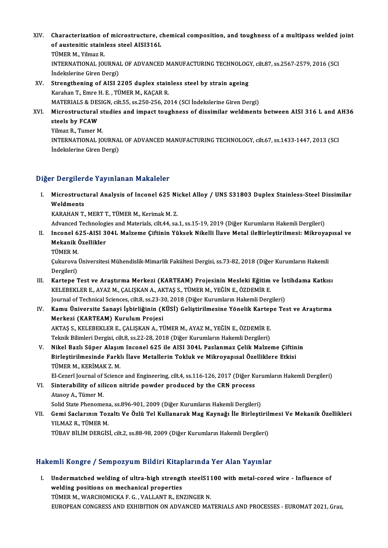XIV. Characterization of microstructure, chemical composition, and toughness of a multipass welded joint<br>Set outeritie stainless stool AIS12161 Characterization of microstructure, cl<br>of austenitic stainless steel AISI316L<br>TÜMER M. Vilmer B Characterization<br>of austenitic stain|<br>TÜMER M., Yilmaz R.<br>INTERMATIONAL JOI of austenitic stainless steel AISI316L<br>TÜMER M., Yilmaz R.<br>INTERNATIONAL JOURNAL OF ADVANCED MANUFACTURING TECHNOLOGY, cilt.87, ss.2567-2579, 2016 (SCI TÜMER M., Yilmaz R.<br>INTERNATIONAL JOURNA<br>İndekslerine Giren Dergi)<br>Strongthoning of AISI 2 INTERNATIONAL JOURNAL OF ADVANCED MANUFACTURING TECHNOLOG<br>Indekslerine Giren Dergi)<br>XV. Strengthening of AISI 2205 duplex stainless steel by strain ageing<br>Karaban T. Emre H. E. TÜMER M. KAGAR R. İndekslerine Giren Dergi)<br>Strengthening of AISI 2205 duplex stainless steel by strain ageing<br>Karahan T., Emre H. E. , TÜMER M., KAÇAR R.<br>MATERIALS & DESIGN, cilt.55, ss.250-256, 2014 (SCI İndekslerine Giren Dergi)

- Strengthening of AISI 2205 duplex stainless steel by strain ageing<br>Karahan T., Emre H. E. , TÜMER M., KAÇAR R.<br>MATERIALS & DESIGN, cilt.55, ss.250-256, 2014 (SCI İndekslerine Giren Dergi)<br>Misrostrustural studies and impact Karahan T., Emre H. E. , TÜMER M., KAÇAR R.<br>MATERIALS & DESIGN, cilt.55, ss.250-256, 2014 (SCI İndekslerine Giren Dergi)<br>XVI. Microstructural studies and impact toughness of dissimilar weldments between AISI 316 L and
- steels by FCAW<br>Yilmaz R., Tumer M. Microstructural s<br>steels by FCAW<br>Yilmaz R., Tumer M.<br>INTERNATIONAL JO steels by FCAW<br>Yilmaz R., Tumer M.<br>INTERNATIONAL JOURNAL OF ADVANCED MANUFACTURING TECHNOLOGY, cilt.67, ss.1433-1447, 2013 (SCI Yilmaz R., Tumer M.<br>INTERNATIONAL JOURNA<br>İndekslerine Giren Dergi)

# İndekslerine Giren Dergi)<br>Diğer Dergilerde Yayınlanan Makaleler

Iger Dergilerde Yayınlanan Makaleler<br>I. Microstructural Analysis of Inconel 625 Nickel Alloy / UNS S31803 Duplex Stainless-Steel Dissimilar<br>Weldmants *r Bergher*<br>Microstruct<br>Weldments<br><sup>MARAHAN T</sup> Microstructural Analysis of Inconel 625 Ni<br>Weldments<br>KARAHAN T., MERT T., TÜMER M., Kerimak M. Z.<br>Advanced Technologies and Materials silt 44 sa Weldments<br>KARAHAN T., MERT T., TÜMER M., Kerimak M. Z.<br>Advanced Technologies and Materials, cilt.44, sa.1, ss.15-19, 2019 (Diğer Kurumların Hakemli Dergileri)<br>Insanal 625, AISL 304L Malzama Ciftinin Yüksek Nikalli İlaya Ma

- KARAHAN T., MERT T., TÜMER M., Kerimak M. Z.<br>Advanced Technologies and Materials, cilt.44, sa.1, ss.15-19, 2019 (Diğer Kurumların Hakemli Dergileri)<br>II. Inconel 625-AISI 304L Malzeme Çiftinin Yüksek Nikelli İlave Metal Advanced Technologi<br>Inconel 625-AISI 3<br>Mekanik Özellikler<br>TÜMEP M Inconel 6<br>Mekanik (<br>TÜMER M.<br>Culareve l
	-

Mekanik Özellikler<br>TÜMER M.<br>Çukurova Üniversitesi Mühendislik-Mimarlik Fakültesi Dergisi, ss.73-82, 2018 (Diğer Kurumların Hakemli<br>Dergileri) TÜMER M.<br>Çukurova<br>Dergileri)<br>Kartono I Cukurova Üniversitesi Mühendislik-Mimarlik Fakültesi Dergisi, ss.73-82, 2018 (Diğer Kurumların Hakemli<br>Dergileri)<br>III. Kartepe Test ve Araştırma Merkezi (KARTEAM) Projesinin Mesleki Eğitim ve İstihdama Katkısı<br>KELEREKLER E

- Dergileri)<br>Kartepe Test ve Araştırma Merkezi (KARTEAM) Projesinin Mesleki Eğitim<br>KELEBEKLER E., AYAZ M., ÇALIŞKAN A., AKTAŞ S., TÜMER M., YEĞİN E., ÖZDEMİR E.<br>Journal of Technical Sciences cilt 8, 89,22,20, 2019 (Diğer Kur Kartepe Test ve Araştırma Merkezi (KARTEAM) Projesinin Mesleki Eğitim ve İs<br>KELEBEKLER E., AYAZ M., ÇALIŞKAN A., AKTAŞ S., TÜMER M., YEĞİN E., ÖZDEMİR E.<br>Journal of Technical Sciences, cilt.8, ss.23-30, 2018 (Diğer Kurumla KELEBEKLER E., AYAZ M., ÇALIŞKAN A., AKTAŞ S., TÜMER M., YEĞİN E., ÖZDEMİR E.<br>Journal of Technical Sciences, cilt.8, ss.23-30, 2018 (Diğer Kurumların Hakemli Dergileri)<br>IV. Kamu Üniversite Sanayi İşbirliğinin (KÜSİ) Ge
- Journal of Technical Sciences, cilt.8, ss.23-3<br>Kamu Üniversite Sanayi İşbirliğinin (K<br>Merkezi (KARTEAM) Kurulum Projesi<br>AKTAS S. KELEPEKLER E. CALISKAN A. Tİ Kamu Üniversite Sanayi İşbirliğinin (KÜSİ) Geliştirilmesine Yönelik Karter<br>Merkezi (KARTEAM) Kurulum Projesi<br>AKTAŞ S., KELEBEKLER E., ÇALIŞKAN A., TÜMER M., AYAZ M., YEĞİN E., ÖZDEMİR E.<br>Telmik Bilimleri Dergisi silt 9, ss Merkezi (KARTEAM) Kurulum Projesi<br>AKTAŞ S., KELEBEKLER E., ÇALIŞKAN A., TÜMER M., AYAZ M., YEĞİN E., ÖZDEMİR E.<br>Teknik Bilimleri Dergisi, cilt.8, ss.22-28, 2018 (Diğer Kurumların Hakemli Dergileri)<br>Nikel Berlı Sünen Alesum

AKTAŞ S., KELEBEKLER E., ÇALIŞKAN A., TÜMER M., AYAZ M., YEĞİN E., ÖZDEMİR E.<br>Teknik Bilimleri Dergisi, cilt.8, ss.22-28, 2018 (Diğer Kurumların Hakemli Dergileri)<br>V. Nikel Bazlı Süper Alaşım Inconel 625 ile AISI 304L Pasl Teknik Bilimleri Dergisi, cilt.8, ss.22-28, 2018 (Diğer Kurumların Hakemli Dergileri)<br>Nikel Bazlı Süper Alaşım Inconel 625 ile AISI 304L Paslanmaz Çelik Malzeme Çiftin<br>Birleştirilmesinde Farklı İlave Metallerin Tokluk ve M Nikel Bazlı Süper Alaşın<br>Birleştirilmesinde Farkl<br>TÜMER M., KERİMAK Z. M.<br>El Cazarî Jaurnal of Sciance Birleştirilmesinde Farklı İlave Metallerin Tokluk ve Mikroyapısal Özelliklere Etkisi<br>TÜMER M., KERİMAK Z. M.<br>El-Cezerî Journal of Science and Engineering, cilt.4, ss.116-126, 2017 (Diğer Kurumların Hakemli Dergileri)<br>Sinte

TÜMER M., KERİMAK Z. M.<br>El-Cezerî Journal of Science and Engineering, cilt.4, ss.116-126, 2017 (Diğer K.<br>VI. Sinterability of silicon nitride powder produced by the CRN process<br>Atasoy A., Tümer M. El-Cezerî Journal of<br>Sinterability of sil<br>Atasoy A., Tümer M.<br>Solid State Phenome Sinterability of silicon nitride powder produced by the CRN process<br>Atasoy A., Tümer M.<br>Solid State Phenomena, ss.896-901, 2009 (Diğer Kurumların Hakemli Dergileri)<br>Cemi Saslarının Teraltı Ve Özlü Tel Kullanarak Mas Kaunağ

Atasoy A., Tümer M.<br>Solid State Phenomena, ss.896-901, 2009 (Diğer Kurumların Hakemli Dergileri)<br>VII. Gemi Saclarının Tozaltı Ve Özlü Tel Kullanarak Mag Kaynağı İle Birleştirilmesi Ve Mekanik Özellikleri<br>VII.MAZ P. TÜM Solid State Phenomen<br>Gemi Saclarının Toz<br>YILMAZ R., TÜMER M.<br>TÜRAV PİLİM DERÇİS Gemi Saclarının Tozaltı Ve Özlü Tel Kullanarak Mag Kaynağı İle Birleştiril:<br>YILMAZ R., TÜMER M.<br>TÜBAV BİLİM DERGİSİ, cilt.2, ss.88-98, 2009 (Diğer Kurumların Hakemli Dergileri)

# TÜBAV BİLİM DERGİSİ, cilt.2, ss.88-98, 2009 (Diğer Kurumların Hakemli Dergileri)<br>Hakemli Kongre / Sempozyum Bildiri Kitaplarında Yer Alan Yayınlar

akemli Kongre / Sempozyum Bildiri Kitaplarında Yer Alan Yayınlar<br>I. Undermatched welding of ultra-high strength steelS1100 with metal-cored wire - Influence of<br>welding positions on mechanical proporties welding positions on mechanical properties<br>TÜMER M., WARCHOMICKA F. G., VALLANT R., ENZINGER N. Undermatched welding of ultra-high strength steelS11<br>welding positions on mechanical properties<br>TÜMER M., WARCHOMICKA F. G. , VALLANT R., ENZINGER N.<br>FUROPEAN CONCRESS AND EVHIPITION ON ADVANGED MA: EUROPEAN CONGRESS AND EXHIBITION ON ADVANCED MATERIALS AND PROCESSES - EUROMAT 2021, Graz,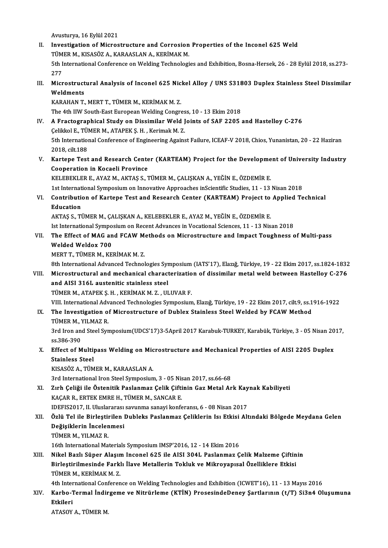Avusturya, 16 Eylül 2021

- Avusturya, 16 Eylül 2021<br>II. Investigation of Microstructure and Corrosion Properties of the Inconel 625 Weld<br>TÜMER M. KISASÖZ A. KARAASLAN A. KERİMAK M Avusturya, 16 Eylül 2021<br>Investigation of Microstructure and Corrosion<br>TÜMER M., KISASÖZ A., KARAASLAN A., KERİMAK M.<br>Eth International Conference on Welding Technologi 5th International Conference on Welding Technologies and Exhibition, Bosna-Hersek, 26 - 28 Eylül 2018, ss.273-<br>277 TÜMER M., KISASÖZ A., KARAASLAN A., KERİMAK M. 5th International Conference on Welding Technologies and Exhibition, Bosna-Hersek, 26 - 28 Eylül 2018, ss.273-<br>277<br>III. Microstructural Analysis of Inconel 625 Nickel Alloy / UNS S31803 Duplex Stainless Steel Dissimilar<br>We
- 277<br>Microstruct<br>Weldments<br>KARAHAN T Microstructural Analysis of Inconel 625 Nic<br>Weldments<br>KARAHAN T., MERT T., TÜMER M., KERİMAK M. Z.<br>The 4th UW South East European Welding Congre

Weldments<br>KARAHAN T., MERT T., TÜMER M., KERİMAK M. Z.<br>The 4th IIW South-East European Welding Congress, 10 - 13 Ekim 2018

- KARAHAN T., MERT T., TÜMER M., KERİMAK M. Z.<br>The 4th IIW South-East European Welding Congress, 10 13 Ekim 2018<br>IV. A Fractographical Study on Dissimilar Weld Joints of SAF 2205 and Hastelloy C-276 The 4th IIW South-East European Welding Congres<br>A Fractographical Study on Dissimilar Weld J<br>Çelikkol E., TÜMER M., ATAPEK Ş. H. , Kerimak M. Z.<br>Eth International Conference of Engineering Ageine 5th International Conference of Engineering Against Failure, ICEAF-V 2018, Chios, Yunanistan, 20 - 22 Haziran<br>2018, cilt.188 Celikkol E, TÜMER M., ATAPEK S. H., Kerimak M. Z. 5th International Conference of Engineering Against Failure, ICEAF-V 2018, Chios, Yunanistan, 20 - 22 Haziran<br>2018, cilt.188<br>V. Kartepe Test and Research Center (KARTEAM) Project for the Development of University Industry<br>
- 2018, cilt.188<br>Kartepe Test and Research Cente<br>Cooperation in Kocaeli Province<br>VELEREKLER E. AVAZ M. AKTAS S. 7 Kartepe Test and Research Center (KARTEAM) Project for the Developme<br>Cooperation in Kocaeli Province<br>KELEBEKLER E., AYAZ M., AKTAŞ S., TÜMER M., ÇALIŞKAN A., YEĞİN E., ÖZDEMİR E.<br>1st International Sumpesium en Innevative A Cooperation in Kocaeli Province<br>KELEBEKLER E., AYAZ M., AKTAŞ S., TÜMER M., ÇALIŞKAN A., YEĞİN E., ÖZDEMİR E.<br>1st International Symposium on Innovative Approaches inScientific Studies, 11 - 13 Nisan 2018<br>Contribution of Ka

KELEBEKLER E., AYAZ M., AKTAŞ S., TÜMER M., ÇALIŞKAN A., YEĞİN E., ÖZDEMİR E.<br>1st International Symposium on Innovative Approaches inScientific Studies, 11 - 13 Nisan 2018<br>1. Contribution of Kartepe Test and Research Cente 1st Internat<br>**Contribution**<br>**Education** 

AKTAŞ S., TÜMER M., ÇALIŞKAN A., KELEBEKLER E., AYAZ M., YEĞİN E., ÖZDEMİR E. Education<br>AKTAŞ S., TÜMER M., ÇALIŞKAN A., KELEBEKLER E., AYAZ M., YEĞİN E., ÖZDEMİR E.<br>Ist International Symposium on Recent Advances in Vocational Sciences, 11 - 13 Nisan 2018<br>The Effect of MAC and ECAW Methods en Misros

## AKTAŞ S., TÜMER M., ÇALIŞKAN A., KELEBEKLER E., AYAZ M., YEĞİN E., ÖZDEMİR E.<br>Ist International Symposium on Recent Advances in Vocational Sciences, 11 - 13 Nisan 2018<br>VII. The Effect of MAG and FCAW Methods on Microst Ist International Sympo<br>The Effect of MAG an<br>Welded Weldox 700<br>MEPTT TÜMEP M *V*E The Effect of MAG and FCAW M<br>Welded Weldox 700<br>MERT T., TÜMER M., KERİMAK M. Z.<br><sup>9th International Advanced Technol</sup> Welded Weldox 700<br>MERT T., TÜMER M., KERİMAK M. Z.<br>8th International Advanced Technologies Symposium (IATS'17), Elazığ, Türkiye, 19 - 22 Ekim 2017, ss.1824-1832<br>Misrostrustural and mosbonisal sharastoriyation of dissimilar

WERT T., TÜMER M., KERİMAK M. Z.<br>8th International Advanced Technologies Symposium (IATS'17), Elazığ, Türkiye, 19 - 22 Ekim 2017, ss.1824-1832<br>1914 Nicrostructural and mechanical characterization of dissimilar metal weld b **8th International Advanced Technologies Syn<br>Microstructural and mechanical charact<br>and AISI 316L austenitic stainless steel<br>TÜMER MAATAREKS HAKERIMAKM 7 - UU** Microstructural and mechanical characterization of dissimilar metal weld between Hastelloy C-276 and AISI 316L austenitic stainless steel<br>TÜMER M., ATAPEK Ş. H. , KERİMAK M. Z. , ULUVAR F. and AISI 316L austenitic stainless steel<br>TÜMER M., ATAPEK Ş. H. , KERİMAK M. Z. , ULUVAR F.<br>VIII. International Advanced Technologies Symposium, Elazığ, Türkiye, 19 - 22 Ekim 2017, cilt.9, ss.1916-1922<br>The Investigation of

# TÜMER M., ATAPEK Ș. H. , KERİMAK M. Z. , ULUVAR F.<br>VIII. International Advanced Technologies Symposium, Elazığ, Türkiye, 19 - 22 Ekim 2017, cilt.9, ss.1<br>IX. The Investigation of Microstructure of Dublex Stainless Steel VIII. International Adv<br>The Investigation of<br>TÜMER M., YILMAZ R.<br><sup>2nd Inon and Steel Sun</sup> The Investigation of Microstructure of Dublex Stainless Steel Welded by FCAW Method<br>TÜMER M., YILMAZ R.<br>3rd Iron and Steel Symposium(UDCS'17)3-5April 2017 Karabuk-TURKEY, Karabük, Türkiye, 3 - 05 Nisan 2017,<br>28.386.300

TÜMER M., 1<br>3rd Iron an<br>ss.386-390<br>Effect of M 3rd Iron and Steel Symposium(UDCS'17)3-5April 2017 Karabuk-TURKEY, Karabük, Türkiye, 3 - 05 Nisan 20<br>ss.386-390<br>X. Effect of Multipass Welding on Microstructure and Mechanical Properties of AISI 2205 Duplex<br>Stainless Steel

## ss.386-390<br>Effect of Multipass Welding on Mic<br>Stainless Steel<br>KISASÖZ A.. TÜMER M.. KARAASLAN A. X. Effect of Multipass Welding on Microstructure and Mechanical Properties of AISI 2205 Duplex

3rd International Iron Steel Symposium, 3 - 05 Nisan 2017, ss.66-68

KISASÖZ A., TÜMER M., KARAASLAN A.<br>3rd International Iron Steel Symposium, 3 - 05 Nisan 2017, ss.66-68<br>XI. Zırh Çeliği ile Östenitik Paslanmaz Çelik Çiftinin Gaz Metal Ark Kaynak Kabiliyeti<br>KACAR R. ERTEK EMBE H. TÜMER 3rd International Iron Steel Symposium, 3 - 05 Nis<br>Zırh Çeliği ile Östenitik Paslanmaz Çelik Çifti<br>KAÇAR R., ERTEK EMRE H., TÜMER M., SANCAR E.<br>IDEEIS2017, IL Uluslararası sayınma sanavi kanfa Zırh Çeliği ile Östenitik Paslanmaz Çelik Çiftinin Gaz Metal Ark Kay<br>KAÇAR R., ERTEK EMRE H., TÜMER M., SANCAR E.<br>IDEFIS2017, II. Uluslararası savunma sanayi konferansı, 6 - 08 Nisan 2017<br>Özlü Tel ile Birlestirilen Dubleks

## KAÇAR R., ERTEK EMRE H., TÜMER M., SANCAR E.<br>IDEFIS2017, II. Uluslararası savunma sanayi konferansı, 6 - 08 Nisan 2017<br>XII. Özlü Tel ile Birleştirilen Dubleks Paslanmaz Çeliklerin Isı Etkisi Altındaki Bölgede Meydana Ge IDEFIS2017, II. Uluslararası<br>Özlü Tel ile Birleştirilen İ<br>Değişiklerin İncelenmesi<br>TÜMER M. YU MAZ R Özlü Tel ile Birleştii<br>Değişiklerin İncelen<br>TÜMER M., YILMAZ R.<br>16th International Ma Değişiklerin İncelenmesi<br>TÜMER M., YILMAZ R.<br>16th International Materials Symposium IMSP'2016, 12 - 14 Ekim 2016

## TÜMER M., YILMAZ R.<br>16th International Materials Symposium IMSP'2016, 12 - 14 Ekim 2016<br>XIII. Nikel Bazlı Süper Alaşım Inconel 625 ile AISI 304L Paslanmaz Çelik Malzeme Çiftinin<br>Pirlestinilmesinde Farklı İleve Metallerin T 16th International Materials Symposium IMSP'2016, 12 - 14 Ekim 2016<br>Nikel Bazlı Süper Alaşım Inconel 625 ile AISI 304L Paslanmaz Çelik Malzeme Çiftin<br>Birleştirilmesinde Farklı İlave Metallerin Tokluk ve Mikroyapısal Özelli Nikel Bazlı Süper Alaşın<br>Birleştirilmesinde Farkl<br>TÜMER M., KERİMAK M. Z.<br>4th International Conforen Birleştirilmesinde Farklı İlave Metallerin Tokluk ve Mikroyapısal Özelliklere Etkisi<br>TÜMER M., KERİMAK M. Z.<br>4th International Conference on Welding Technologies and Exhibition (ICWET'16), 11 - 13 Mayıs 2016<br>Karba Tarmal İ

# TÜMER M., KERİMAK M. Z.<br>4th International Conference on Welding Technologies and Exhibition (ICWET'16), 11 - 13 Mayıs 2016<br>XIV. Karbo-Termal İndirgeme ve Nitrürleme (KTİN) ProsesindeDeney Şartlarının (t/T) Si3n4 Oluşum 4th Inter<br>Karbo-T<br>Etkileri<br>ATASOV Karbo-Termal İndir<br>Etkileri<br>ATASOY A., TÜMER M.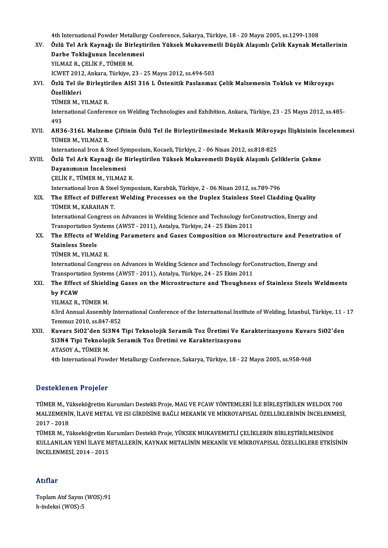4th International Powder Metallurgy Conference, Sakarya, Türkiye, 18 - 20 Mayıs 2005, ss.1299-1308<br>Özlü Tel Ark Kaynağı ile Birlestinilen Yüksek Mukayemetli Düşük Alasımlı Celik Kaynak Me

|        | 4th International Powder Metallurgy Conference, Sakarya, Türkiye, 18 - 20 Mayıs 2005, ss.1299-1308                  |
|--------|---------------------------------------------------------------------------------------------------------------------|
| XV.    | Özlü Tel Ark Kaynağı ile Birleştirilen Yüksek Mukavemetli Düşük Alaşımlı Çelik Kaynak Metallerinin                  |
|        | Darbe Tokluğunun İncelenmesi                                                                                        |
|        | YILMAZ R., ÇELİK F., TÜMER M.                                                                                       |
|        | ICWET 2012, Ankara, Türkiye, 23 - 25 Mayıs 2012, ss.494-503                                                         |
| XVI.   | Özlü Tel ile Birleştirilen AISI 316 L Östenitik Paslanmaz Çelik Malzemenin Tokluk ve Mikroyapı                      |
|        | Özellikleri                                                                                                         |
|        | TÜMER M., YILMAZ R.                                                                                                 |
|        | International Conference on Welding Technologies and Exhibition, Ankara, Türkiye, 23 - 25 Mayıs 2012, ss.485-       |
|        | 493                                                                                                                 |
| XVII.  | AH36-316L Malzeme Çiftinin Özlü Tel ile Birleştirilmesinde Mekanik Mikroyapı İlişkisinin İncelenmesi                |
|        | TÜMER M., YILMAZ R.                                                                                                 |
|        | International Iron & Steel Symposium, Kocaeli, Türkiye, 2 - 06 Nisan 2012, ss.818-825                               |
| XVIII. | Özlü Tel Ark Kaynağı ile Birleştirilen Yüksek Mukavemetli Düşük Alaşımlı Çeliklerin Çekme                           |
|        | Dayanımının İncelenmesi                                                                                             |
|        | ÇELİK F., TÜMER M., YILMAZ R.                                                                                       |
|        | International Iron & Steel Symposium, Karabük, Türkiye, 2 - 06 Nisan 2012, ss.789-796                               |
| XIX.   | The Effect of Different Welding Processes on the Duplex Stainless Steel Cladding Quality                            |
|        | TÜMER M., KARAHAN T.                                                                                                |
|        | International Congress on Advances in Welding Science and Technology forConstruction, Energy and                    |
|        | Transportation Systems (AWST - 2011), Antalya, Türkiye, 24 - 25 Ekim 2011                                           |
| XX.    | The Effects of Welding Parameters and Gases Composition on Microstructure and Penetration of                        |
|        | <b>Stainless Steels</b>                                                                                             |
|        | TÜMER M., YILMAZ R.                                                                                                 |
|        | International Congress on Advances in Welding Science and Technology forConstruction, Energy and                    |
|        | Transportation Systems (AWST - 2011), Antalya, Türkiye, 24 - 25 Ekim 2011                                           |
| XXI.   | The Effect of Shielding Gases on the Microstructure and Thoughness of Stainless Steels Weldments                    |
|        | by FCAW                                                                                                             |
|        | YILMAZ R., TÜMER M.                                                                                                 |
|        | 63rd Annual Assembly International Conference of the International Institute of Welding, İstanbul, Türkiye, 11 - 17 |
|        | Temmuz 2010, ss 847-852                                                                                             |
| XXII.  | Kuvars SiO2'den Si3N4 Tipi Teknolojik Seramik Toz Üretimi Ve Karakterizasyonu Kuvars SiO2'den                       |
|        | Si3N4 Tipi Teknolojik Seramik Toz Üretimi ve Karakterizasyonu                                                       |
|        | ATASOY A., TÜMER M.                                                                                                 |
|        | 4th International Powder Metallurgy Conference, Sakarya, Türkiye, 18 - 22 Mayıs 2005, ss.958-968                    |
|        |                                                                                                                     |

## Desteklenen Projeler

Desteklenen Projeler<br>TÜMER M., Yükseköğretim Kurumları Destekli Proje, MAG VE FCAW YÖNTEMLERİ İLE BİRLEŞTİRİLEN WELDOX 700<br>MALZEMENİN İLAVE METAL VE ISL CİPDİSİNE PAĞLLMEKANİK VE MİKROYARISAL ÖZELLİKI ERİNİN İNCELENMESİ D'OOOONNON'N' F'ESJOLOF<br>TÜMER M., Yükseköğretim Kurumları Destekli Proje, MAG VE FCAW YÖNTEMLERİ İLE BİRLEŞTİRİLEN WELDOX 700<br>MALZEMENİN, İLAVE METAL VE ISI GİRDİSİNE BAĞLI MEKANİK VE MİKROYAPISAL ÖZELLİKLERİNİN İNCELENMES TÜMER M., Y<mark>i</mark><br>MALZEMENİ!<br>2017 - 2018<br>TÜMER M. Yi MALZEMENIN, İLAVE METAL VE ISI GİRDİSINE BAĞLI MEKANIK VE MIKROYAPISAL ÖZELLIKLERININ İNCELENMESI,<br>2017 - 2018<br>TÜMER M., Yükseköğretim Kurumları Destekli Proje, YÜKSEK MUKAVEMETLİ ÇELİKLERİN BİRLEŞTİRİLMESİNDE<br>KULLANILAN Y

TÜMER M., Yükseköğretim Kurumları Destekli Proje, YÜKSEK MUKAVEMETLİ ÇELİKLERİN BİRLEŞTİRİLMESİNDE İNCELENMESİ,2014 -2015

## Atıflar

ToplamAtıf Sayısı (WOS):91 h-indeksi (WOS):5